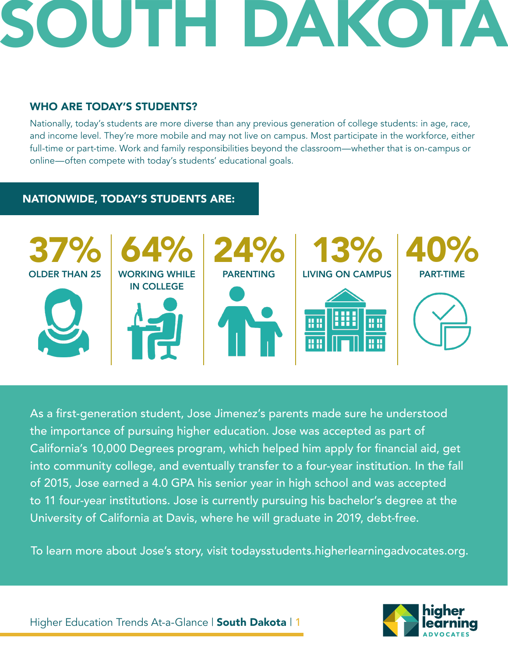

# WHO ARE TODAY'S STUDENTS?

Nationally, today's students are more diverse than any previous generation of college students: in age, race, and income level. They're more mobile and may not live on campus. Most participate in the workforce, either full-time or part-time. Work and family responsibilities beyond the classroom—whether that is on-campus or online—often compete with today's students' educational goals.

# NATIONWIDE, TODAY'S STUDENTS ARE:



As a first-generation student, Jose Jimenez's parents made sure he understood the importance of pursuing higher education. Jose was accepted as part of California's 10,000 Degrees program, which helped him apply for financial aid, get into community college, and eventually transfer to a four-year institution. In the fall of 2015, Jose earned a 4.0 GPA his senior year in high school and was accepted to 11 four-year institutions. Jose is currently pursuing his bachelor's degree at the University of California at Davis, where he will graduate in 2019, debt-free.

To learn more about Jose's story, visit todaysstudents.higherlearningadvocates.org.

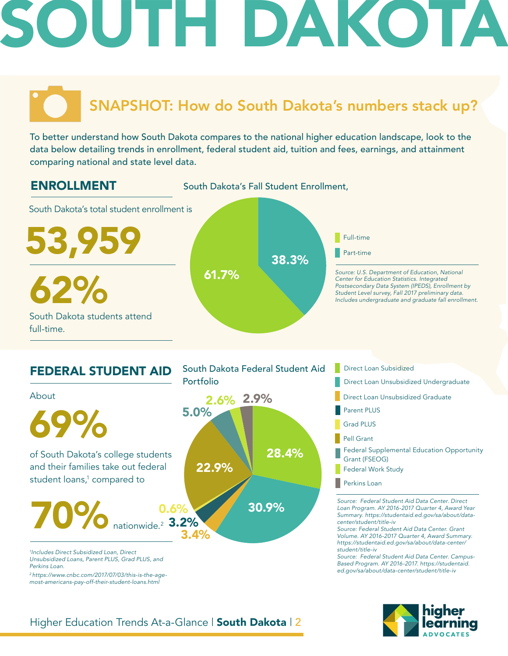# H DAKOTA

# SNAPSHOT: How do South Dakota's numbers stack up?

To better understand how South Dakota compares to the national higher education landscape, look to the data below detailing trends in enrollment, federal student aid, tuition and fees, earnings, and attainment comparing national and state level data.





*Unsubsidized Loans, Parent PLUS, Grad PLUS, and Perkins Loan.* 

*2 https://www.cnbc.com/2017/07/03/this-is-the-agemost-americans-pay-off-their-student-loans.html*

South Dakota Federal Student Aid Portfolio **Direct Loan Unsubsidized Undergraduate** 

*Source: Federal Student Aid Data Center. Direct Loan Program. AY 2016-2017 Quarter 4, Award Year Summary. https://studentaid.ed.gov/sa/about/datacenter/student/title-iv Source: Federal Student Aid Data Center. Grant*  Direct Loan Subsidized Direct Loan Unsubsidized Graduate Parent PLUS Grad PLUS Pell Grant Federal Supplemental Education Opportunity Grant (FSEOG) Federal Work Study **Perkins Loan** 

*Volume. AY 2016-2017 Quarter 4, Award Summary. https://studentaid.ed.gov/sa/about/data-center/ student/title-iv*

*Source: Federal Student Aid Data Center. Campus-Based Program. AY 2016-2017. https://studentaid. ed.gov/sa/about/data-center/student/title-iv*

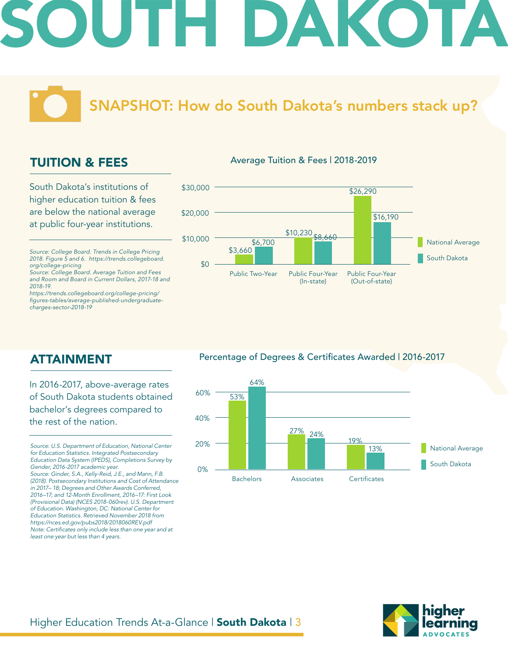# DAKOT

SNAPSHOT: How do South Dakota's numbers stack up?

# TUITION & FEES

South Dakota's institutions of higher education tuition & fees are below the national average at public four-year institutions.

*Source: College Board. Trends in College Pricing 2018. Figure 5 and 6. https://trends.collegeboard. org/college-pricing*

*Source: College Board. Average Tuition and Fees and Room and Board in Current Dollars, 2017-18 and 2018-19.*

*https://trends.collegeboard.org/college-pricing/* figures-tables/average-published-undergraduate*charges-sector-2018-19*

#### Average Tuition & Fees | 2018-2019



ATTAINMENT

### In 2016-2017, above-average rates of South Dakota students obtained bachelor's degrees compared to the rest of the nation.

*Source: U.S. Department of Education, National Center for Education Statistics. Integrated Postsecondary Education Data System (IPEDS), Completions Survey by Gender, 2016-2017 academic year. Source: Ginder, S.A., Kelly-Reid, J.E., and Mann, F.B.* 

*(2018). Postsecondary Institutions and Cost of Attendance in 2017– 18; Degrees and Other Awards Conferred, 2016–17; and 12-Month Enrollment, 2016–17: First Look (Provisional Data) (NCES 2018-060rev). U.S. Department of Education. Washington, DC: National Center for Education Statistics. Retrieved November 2018 from https://nces.ed.gov/pubs2018/2018060REV.pdf* Note: Certificates only include less than one year and at *least one year but less than 4 years.* 

#### Percentage of Degrees & Certificates Awarded | 2016-2017



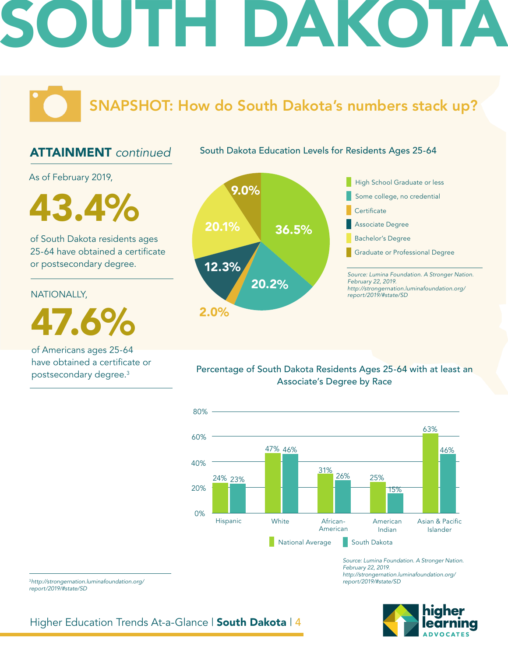# H DAKOTA

SNAPSHOT: How do South Dakota's numbers stack up?

# ATTAINMENT *continued*

South Dakota Education Levels for Residents Ages 25-64

As of February 2019,

43.4% 20.1%

of South Dakota residents ages 25-64 have obtained a certificate or postsecondary degree.

#### NATIONALLY,

47.6%

of Americans ages 25-64 have obtained a certificate or postsecondary degree.3



Percentage of South Dakota Residents Ages 25-64 with at least an Associate's Degree by Race



*Source: Lumina Foundation. A Stronger Nation. February 22, 2019. http://strongernation.luminafoundation.org/ report/2019/#state/SD*



<sup>3</sup>*http://strongernation.luminafoundation.org/ report/2019/#state/SD*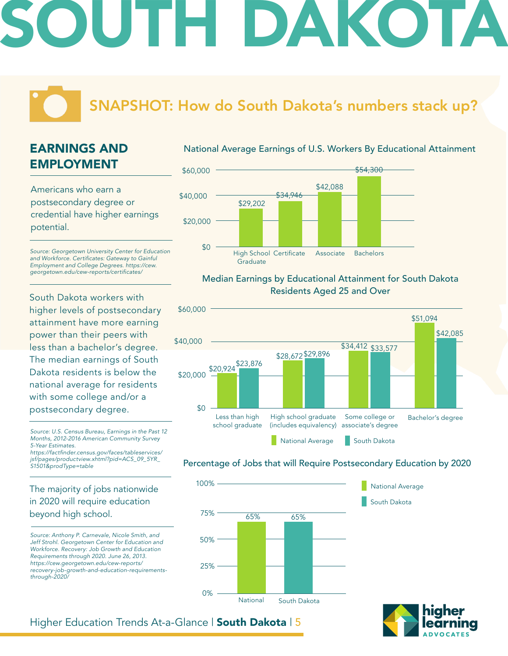# DAKOTA

# SNAPSHOT: How do South Dakota's numbers stack up?

# EARNINGS AND EMPLOYMENT

Americans who earn a postsecondary degree or credential have higher earnings potential.

*Source: Georgetown University Center for Education*  and Workforce. Certificates: Gateway to Gainful *Employment and College Degrees. https://cew.* georgetown.edu/cew-reports/certificates/

South Dakota workers with higher levels of postsecondary attainment have more earning power than their peers with less than a bachelor's degree. The median earnings of South Dakota residents is below the national average for residents with some college and/or a postsecondary degree.

*Source: U.S. Census Bureau, Earnings in the Past 12 Months, 2012-2016 American Community Survey 5-Year Estimates.*

https://factfinder.census.gov/faces/tableservices/ *jsf/pages/productview.xhtml?pid=ACS\_09\_5YR\_ S1501&prodType=table*

## The majority of jobs nationwide in 2020 will require education beyond high school.

*Source: Anthony P. Carnevale, Nicole Smith, and Jeff Strohl. Georgetown Center for Education and Workforce. Recovery: Job Growth and Education Requirements through 2020. June 26, 2013. https://cew.georgetown.edu/cew-reports/ recovery-job-growth-and-education-requirementsthrough-2020/*

#### National Average Earnings of U.S. Workers By Educational Attainment



#### Median Earnings by Educational Attainment for South Dakota Residents Aged 25 and Over



### Percentage of Jobs that will Require Postsecondary Education by 2020



South Dakota

National Average